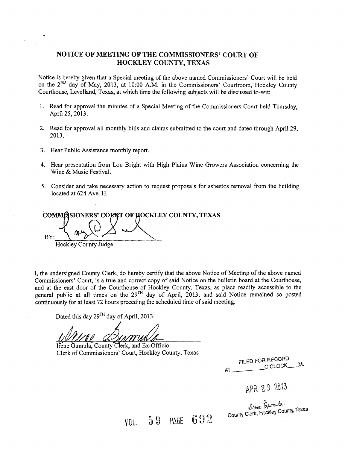### **NOTICE OF MEETING OF THE COMMISSIONERS' COURT OF HOCKLEY COUNTY, TEXAS**

Notice is hereby given that a Special meeting of the above named Commissioners' Court will be held on the 2<sup>ND</sup> day of May, 2013, at 10:00 A.M. in the Commissioners' Courtroom, Hockley County Courthouse, Levelland, Texas, at which time the following subjects will be discussed to-wit:

- 1. Read for approval the minutes of a Special Meeting of the Commissioners Court held Thursday, April 25, 2013.
- 2. Read for approval all monthly bills and claims submitted to the court and dated through April 29, 2013.
- 3. Hear Public Assistance monthly report.
- 4. Hear presentation from Lou Bright with High Plains Wine Growers Association concerning the Wine & Music Festival.
- 5. Consider and take necessary action to request proposals for asbestos removal from the building located at 624 Ave. H.

COMMISSIONERS' COURT OF HOCKLEY COUNTY, TEXAS  $BY:$  August 20 Hockley County Judge

I, the undersigned County Clerk, do hereby certify that the above Notice of Meeting of the above named Commissioners' Court, is a true and correct copy of said Notice on the bulletin board at the Courthouse, and at the east door of the Courthouse of Hockley County, Texas, as place readily accessible to the general public at all times on the 29<sup>TH</sup> day of April, 2013, and said Notice remained so posted continuously for at least 72 hours preceding the scheduled time of said meeting.

VOL. 59 PAGE 692

Dated this day 29<sup>TH</sup> day of April, 2013.

Irene Gumula, County Clerk, and Ex-Officio Clerk of Commissioners' Court, Hockley County, Texas

FILED FOR RECORD AT O'CLOCK-M.

APR 29 2013

www. Prom.<br>County Clerk, Hockley County, Texas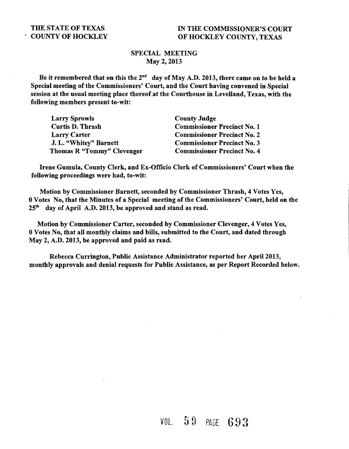## SPECIAL MEETING May 2, 2013

Be it remembered that on this the  $2^{nd}$  day of May A.D. 2013, there came on to be held a Special meeting of the Commissioners' Court, and the Court having convened in Special session at the usual meeting place thereof at the Courthouse in Levelland, Texas, with the following members present to-wit:

| <b>Larry Sprowls</b>       | <b>County Judge</b>                |
|----------------------------|------------------------------------|
| <b>Curtis D. Thrash</b>    | <b>Commissioner Precinct No. 1</b> |
| <b>Larry Carter</b>        | <b>Commissioner Precinct No. 2</b> |
| J. L. "Whitey" Barnett     | <b>Commissioner Precinct No. 3</b> |
| Thomas R "Tommy" Clevenger | <b>Commissioner Precinct No. 4</b> |

Irene Gumula, County Clerk, and Ex-Officio Clerk of Commissioners' Court when the following proceedings were had, to-wit:

Motion by Commissioner Barnett, seconded by Commissioner Thrash, 4 Votes Yes, 0 Votes No, that the Minutes of a Special meeting of the Commissioners' Court, held on the 25th day of April A.D. 2013, be approved and stand as read.

Motion by Commissioner Carter, seconded by Commissioner Clevenger, 4 Votes Yes, 0 Votes No, that all monthly claims and bills, submitted to the Court, and dated through May 2, A.D. 2013, be approved and paid as read.

Rebecca Currington, Public Assistance Administrator reported her April 2013, monthly approvals and denial requests for Public Assistance, as per Report Recorded below.

VOL 5 9 PAGE 693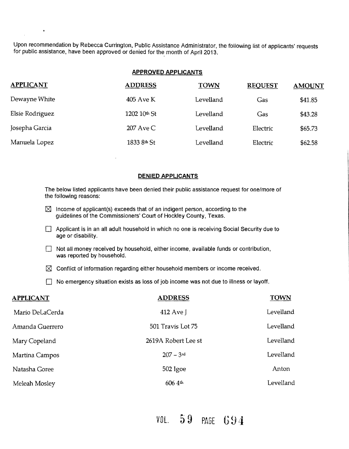Upon recommendation by Rebecca Currington, Public Assistance Administrator, the following list of applicants' requests for public assistance, have been approved or denied for the month of April 2013.

 $\bullet$ 

#### **APPROVED APPLICANTS**

| <b>APPLICANT</b> | <b>ADDRESS</b> | <b>TOWN</b> | <b>REQUEST</b> | <b>AMOUNT</b> |
|------------------|----------------|-------------|----------------|---------------|
| Dewayne White    | 405 Ave K      | Levelland   | Gas            | \$41.85       |
| Elsie Rodriguez  | 1202 10th St   | Levelland   | Gas            | \$43.28       |
| Josepha Garcia   | 207 Ave C      | Levelland   | Electric       | \$65.73       |
| Manuela Lopez    | 1833 8th St    | Levelland   | Electric       | \$62.58       |

#### **DENIED APPLICANTS**

The below listed applicants have been denied their public assistance request for one/more of the following reasons:

- $\boxtimes$  Income of applicant(s) exceeds that of an indigent person, according to the guidelines of the Commissioners' Court of Hockley County, Texas.
- $\Box$  Applicant is in an all adult household in which no one is receiving Social Security due to age or disability.
- $\Box$  Not all money received by household, either income, available funds or contribution, was reported by household.
- $\boxtimes$  Conflict of information regarding either household members or income received.
- $\Box$  No emergency situation exists as loss of job income was not due to illness or layoff.

| <b>APPLICANT</b> | <b>ADDRESS</b>          | <b>TOWN</b> |
|------------------|-------------------------|-------------|
| Mario DeLaCerda  | 412 Ave J               | Levelland   |
| Amanda Guerrero  | 501 Travis Lot 75       | Levelland   |
| Mary Copeland    | 2619A Robert Lee st     | Levelland   |
| Martina Campos   | $207 - 3$ <sup>rd</sup> | Levelland   |
| Natasha Goree    | $502$ Igoe              | Anton       |
| Meleah Mosley    | 606 4 <sup>th</sup>     | Levelland   |

VOL. 59 PAGE 694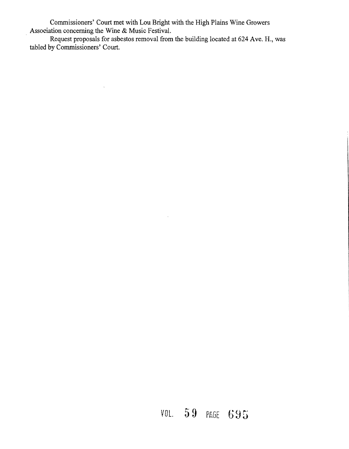Commissioners' Court met with Lou Bright with the High Plains Wine Growers . Association concerning the Wine & Music Festival.

Request proposals for asbestos removal from the building located at 624 Ave. H., was tabled by Commissioners' Court.

 $\bar{z}$ 

# VOL. **59** PbGE 695